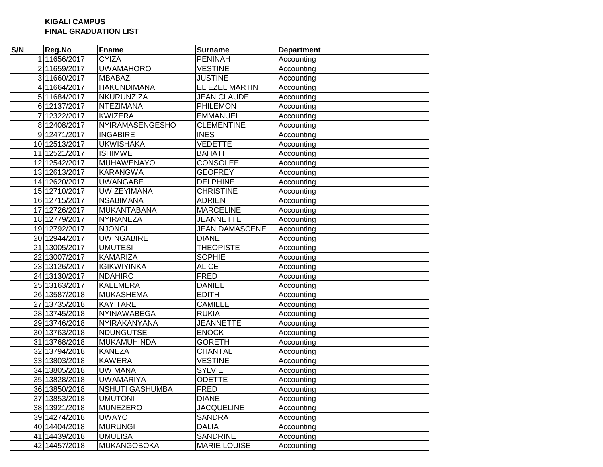## **KIGALI CAMPUS FINAL GRADUATION LIST**

| S/N | Reg.No        | <b>Fname</b>           | <b>Surname</b>        | <b>Department</b> |
|-----|---------------|------------------------|-----------------------|-------------------|
|     | 111656/2017   | <b>CYIZA</b>           | <b>PENINAH</b>        | Accounting        |
|     | 211659/2017   | <b>UWAMAHORO</b>       | <b>VESTINE</b>        | Accounting        |
|     | 3 11660/2017  | <b>MBABAZI</b>         | <b>JUSTINE</b>        | Accounting        |
|     | 4 11664/2017  | <b>HAKUNDIMANA</b>     | <b>ELIEZEL MARTIN</b> | Accounting        |
|     | 5 11684/2017  | NKURUNZIZA             | <b>JEAN CLAUDE</b>    | Accounting        |
|     | 6 12137/2017  | <b>NTEZIMANA</b>       | <b>PHILEMON</b>       | Accounting        |
|     | 712322/2017   | <b>KWIZERA</b>         | <b>EMMANUEL</b>       | Accounting        |
|     | 8 12408/2017  | NYIRAMASENGESHO        | <b>CLEMENTINE</b>     | Accounting        |
|     | 912471/2017   | <b>INGABIRE</b>        | <b>INES</b>           | Accounting        |
|     | 10 12513/2017 | <b>UKWISHAKA</b>       | <b>VEDETTE</b>        | Accounting        |
|     | 11 12521/2017 | <b>ISHIMWE</b>         | <b>BAHATI</b>         | Accounting        |
|     | 12 12542/2017 | MUHAWENAYO             | <b>CONSOLEE</b>       | Accounting        |
|     | 13 12613/2017 | <b>KARANGWA</b>        | <b>GEOFREY</b>        | Accounting        |
|     | 14 12620/2017 | <b>UWANGABE</b>        | <b>DELPHINE</b>       | Accounting        |
|     | 15 12710/2017 | <b>UWIZEYIMANA</b>     | <b>CHRISTINE</b>      | Accounting        |
|     | 16 12715/2017 | <b>NSABIMANA</b>       | <b>ADRIEN</b>         | Accounting        |
|     | 17 12726/2017 | MUKANTABANA            | <b>MARCELINE</b>      | Accounting        |
|     | 18 12779/2017 | NYIRANEZA              | <b>JEANNETTE</b>      | Accounting        |
|     | 19 12792/2017 | <b>NJONGI</b>          | <b>JEAN DAMASCENE</b> | Accounting        |
|     | 20 12944/2017 | <b>UWINGABIRE</b>      | <b>DIANE</b>          | Accounting        |
|     | 21 13005/2017 | <b>UMUTESI</b>         | <b>THEOPISTE</b>      | Accounting        |
|     | 22 13007/2017 | <b>KAMARIZA</b>        | <b>SOPHIE</b>         | Accounting        |
|     | 23 13126/2017 | <b>IGIKWIYINKA</b>     | <b>ALICE</b>          | Accounting        |
|     | 24 13130/2017 | <b>NDAHIRO</b>         | <b>FRED</b>           | Accounting        |
|     | 25 13163/2017 | <b>KALEMERA</b>        | <b>DANIEL</b>         | Accounting        |
|     | 26 13587/2018 | <b>MUKASHEMA</b>       | <b>EDITH</b>          | Accounting        |
|     | 27 13735/2018 | <b>KAYITARE</b>        | <b>CAMILLE</b>        | Accounting        |
|     | 28 13745/2018 | NYINAWABEGA            | <b>RUKIA</b>          | Accounting        |
|     | 29 13746/2018 | NYIRAKANYANA           | <b>JEANNETTE</b>      | Accounting        |
|     | 30 13763/2018 | <b>NDUNGUTSE</b>       | <b>ENOCK</b>          | Accounting        |
|     | 31 13768/2018 | MUKAMUHINDA            | <b>GORETH</b>         | Accounting        |
|     | 32 13794/2018 | <b>KANEZA</b>          | <b>CHANTAL</b>        | Accounting        |
|     | 33 13803/2018 | <b>KAWERA</b>          | <b>VESTINE</b>        | Accounting        |
|     | 34 13805/2018 | <b>UWIMANA</b>         | <b>SYLVIE</b>         | Accounting        |
|     | 35 13828/2018 | <b>UWAMARIYA</b>       | <b>ODETTE</b>         | Accounting        |
|     | 36 13850/2018 | <b>NSHUTI GASHUMBA</b> | FRED                  | Accounting        |
|     | 37 13853/2018 | <b>UMUTONI</b>         | <b>DIANE</b>          | Accounting        |
|     | 38 13921/2018 | <b>MUNEZERO</b>        | <b>JACQUELINE</b>     | Accounting        |
|     | 39 14274/2018 | <b>UWAYO</b>           | <b>SANDRA</b>         | Accounting        |
|     | 40 14404/2018 | <b>MURUNGI</b>         | <b>DALIA</b>          | Accounting        |
|     | 41 14439/2018 | <b>UMULISA</b>         | <b>SANDRINE</b>       | Accounting        |
|     | 42 14457/2018 | <b>MUKANGOBOKA</b>     | <b>MARIE LOUISE</b>   | Accounting        |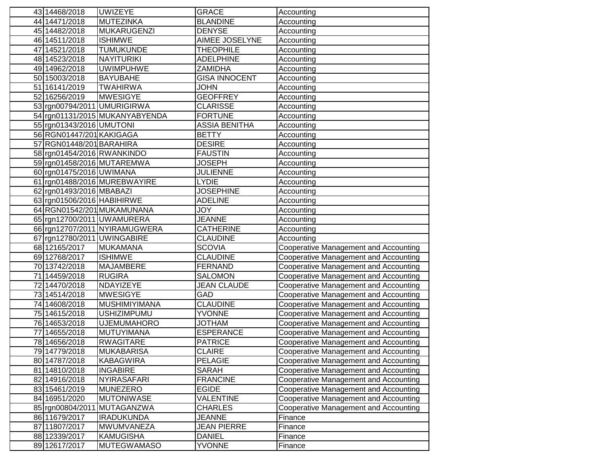| 43 14468/2018                  | <b>UWIZEYE</b>                        | <b>GRACE</b>                       | Accounting                                                                     |
|--------------------------------|---------------------------------------|------------------------------------|--------------------------------------------------------------------------------|
| 44 14471/2018                  | <b>MUTEZINKA</b>                      | <b>BLANDINE</b>                    | Accounting                                                                     |
| 45 14482/2018                  | <b>MUKARUGENZI</b>                    | <b>DENYSE</b>                      | Accounting                                                                     |
| 46 14511/2018                  | <b>ISHIMWE</b>                        | AIMEE JOSELYNE                     | Accounting                                                                     |
| 47 14521/2018                  | <b>TUMUKUNDE</b>                      | <b>THEOPHILE</b>                   | Accounting                                                                     |
| 48 14523/2018                  | <b>NAYITURIKI</b>                     | <b>ADELPHINE</b>                   | Accounting                                                                     |
| 49 149 62/2018                 | <b>UWIMPUHWE</b>                      | <b>ZAMIDHA</b>                     | Accounting                                                                     |
| 50 15003/2018                  | <b>BAYUBAHE</b>                       | <b>GISA INNOCENT</b>               | Accounting                                                                     |
| 51 16141/2019                  | <b>TWAHIRWA</b>                       | <b>JOHN</b>                        | Accounting                                                                     |
| 52 16256/2019                  | <b>MWESIGYE</b>                       | <b>GEOFFREY</b>                    | Accounting                                                                     |
| 53 rgn00794/2011 UMURIGIRWA    |                                       | <b>CLARISSE</b>                    | Accounting                                                                     |
|                                | 54 rgn01131/2015 MUKANYABYENDA        | <b>FORTUNE</b>                     | Accounting                                                                     |
| 55 rgn01343/2016 UMUTONI       |                                       | <b>ASSIA BENITHA</b>               | Accounting                                                                     |
| 56 RGN01447/201 KAKIGAGA       |                                       | <b>BETTY</b>                       | Accounting                                                                     |
| 57 RGN01448/201 BARAHIRA       |                                       | <b>DESIRE</b>                      | Accounting                                                                     |
| 58 rgn01454/2016 RWANKINDO     |                                       | <b>FAUSTIN</b>                     | Accounting                                                                     |
| 59 rgn01458/2016 MUTAREMWA     |                                       | JOSEPH                             | Accounting                                                                     |
| 60 rgn01475/2016 UWIMANA       |                                       | <b>JULIENNE</b>                    | Accounting                                                                     |
|                                | 61 rgn01488/2016 MUREBWAYIRE          | <b>LYDIE</b>                       | Accounting                                                                     |
| 62 rgn01493/2016 MBABAZI       |                                       | <b>JOSEPHINE</b>                   | Accounting                                                                     |
| 63 rgn01506/2016 HABIHIRWE     |                                       | <b>ADELINE</b>                     | Accounting                                                                     |
|                                | 64 RGN01542/201 MUKAMUNANA            | <b>JOY</b>                         | Accounting                                                                     |
| 65 rgn12700/2011 UWAMURERA     |                                       | <b>JEANNE</b>                      | Accounting                                                                     |
|                                | 66 rgn12707/2011 NYIRAMUGWERA         | <b>CATHERINE</b>                   | Accounting                                                                     |
| 67 rgn12780/2011 UWINGABIRE    |                                       | <b>CLAUDINE</b>                    | Accounting                                                                     |
| 68 12165/2017                  | <b>MUKAMANA</b>                       | <b>SCOVIA</b>                      | Cooperative Management and Accounting                                          |
| 69 12768/2017                  | <b>ISHIMWE</b>                        | <b>CLAUDINE</b>                    | Cooperative Management and Accounting                                          |
| 70 13742/2018                  | <b>MAJAMBERE</b>                      | <b>FERNAND</b>                     | Cooperative Management and Accounting                                          |
| 71 14459/2018                  | <b>RUGIRA</b>                         | <b>SALOMON</b>                     | Cooperative Management and Accounting                                          |
| 72 14470/2018                  | NDAYIZEYE                             | <b>JEAN CLAUDE</b>                 | Cooperative Management and Accounting                                          |
| 73 14514/2018                  | <b>MWESIGYE</b>                       | GAD                                | Cooperative Management and Accounting                                          |
| 74 14608/2018                  | <b>MUSHIMIYIMANA</b>                  | <b>CLAUDINE</b>                    | Cooperative Management and Accounting                                          |
| 75 14615/2018                  | <b>USHIZIMPUMU</b>                    | <b>YVONNE</b>                      | Cooperative Management and Accounting                                          |
| 76 14653/2018                  | <b>UJEMUMAHORO</b>                    | <b>NAHTOL</b>                      | Cooperative Management and Accounting                                          |
| 77 14655/2018<br>78 14656/2018 | <b>MUTUYIMANA</b><br><b>RWAGITARE</b> | <b>ESPERANCE</b><br><b>PATRICE</b> | Cooperative Management and Accounting<br>Cooperative Management and Accounting |
|                                | MUKABARISA                            |                                    |                                                                                |
| 79 14779/2018                  |                                       | CLAIRE<br><b>PELAGIE</b>           | Cooperative Management and Accounting                                          |
| 80 14787/2018<br>81 14810/2018 | <b>KABAGWIRA</b><br><b>INGABIRE</b>   | <b>SARAH</b>                       | Cooperative Management and Accounting<br>Cooperative Management and Accounting |
| 82 14916/2018                  | <b>NYIRASAFARI</b>                    | <b>FRANCINE</b>                    | Cooperative Management and Accounting                                          |
| 83 15461/2019                  | <b>MUNEZERO</b>                       | <b>EGIDE</b>                       | <b>Cooperative Management and Accounting</b>                                   |
| 84 16951/2020                  | <b>MUTONIWASE</b>                     | <b>VALENTINE</b>                   | Cooperative Management and Accounting                                          |
|                                | 85 rgn00804/2011 MUTAGANZWA           | <b>CHARLES</b>                     | Cooperative Management and Accounting                                          |
| 86 11679/2017                  | <b>IRADUKUNDA</b>                     | <b>JEANNE</b>                      | Finance                                                                        |
| 87 11807/2017                  | <b>MWUMVANEZA</b>                     | <b>JEAN PIERRE</b>                 | Finance                                                                        |
| 88 12339/2017                  | <b>KAMUGISHA</b>                      | <b>DANIEL</b>                      | Finance                                                                        |
| 89 12617/2017                  | <b>MUTEGWAMASO</b>                    | <b>YVONNE</b>                      | Finance                                                                        |
|                                |                                       |                                    |                                                                                |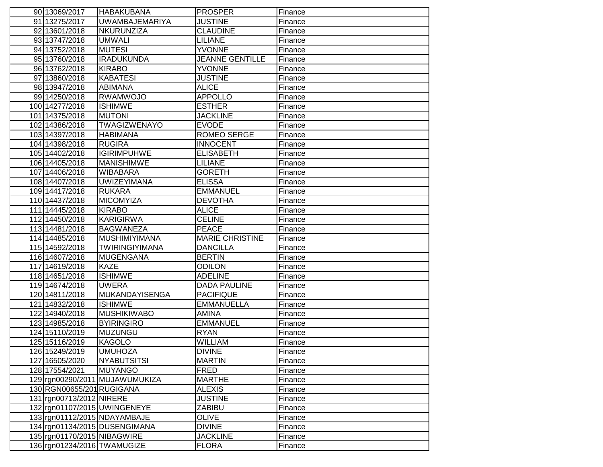| 90 13069/2017                | <b>HABAKUBANA</b>              | <b>PROSPER</b>         | Finance |
|------------------------------|--------------------------------|------------------------|---------|
| 91 13275/2017                | <b>UWAMBAJEMARIYA</b>          | <b>JUSTINE</b>         | Finance |
| 92 13601/2018                | <b>NKURUNZIZA</b>              | <b>CLAUDINE</b>        | Finance |
| 93 13747/2018                | <b>UMWALI</b>                  | <b>LILIANE</b>         | Finance |
| 94 13752/2018                | <b>MUTESI</b>                  | <b>YVONNE</b>          | Finance |
| 95 13760/2018                | <b>IRADUKUNDA</b>              | <b>JEANNE GENTILLE</b> | Finance |
| 96 13762/2018                | <b>KIRABO</b>                  | <b>YVONNE</b>          | Finance |
| 97 13860/2018                | <b>KABATESI</b>                | <b>JUSTINE</b>         | Finance |
| 98 13947/2018                | <b>ABIMANA</b>                 | <b>ALICE</b>           | Finance |
| 99 14250/2018                | <b>RWAMWOJO</b>                | <b>APPOLLO</b>         | Finance |
| 100 14277/2018               | <b>ISHIMWE</b>                 | <b>ESTHER</b>          | Finance |
| 101 14375/2018               | <b>MUTONI</b>                  | <b>JACKLINE</b>        | Finance |
| 102 14386/2018               | <b>TWAGIZWENAYO</b>            | <b>EVODE</b>           | Finance |
| 103 14397/2018               | <b>HABIMANA</b>                | <b>ROMEO SERGE</b>     | Finance |
| 104 14398/2018               | <b>RUGIRA</b>                  | <b>INNOCENT</b>        | Finance |
| 105 14402/2018               | <b>IGIRIMPUHWE</b>             | <b>ELISABETH</b>       | Finance |
| 106 14405/2018               | <b>MANISHIMWE</b>              | <b>LILIANE</b>         | Finance |
| 107 14406/2018               | WIBABARA                       | <b>GORETH</b>          | Finance |
| 108 14407/2018               | <b>UWIZEYIMANA</b>             | <b>ELISSA</b>          | Finance |
| 109 14417/2018               | <b>RUKARA</b>                  | <b>EMMANUEL</b>        | Finance |
| 110 14437/2018               | <b>MICOMYIZA</b>               | <b>DEVOTHA</b>         | Finance |
| 111 14445/2018               | <b>KIRABO</b>                  | <b>ALICE</b>           | Finance |
| 112 14450/2018               | <b>KARIGIRWA</b>               | <b>CELINE</b>          | Finance |
| 113 14481/2018               | <b>BAGWANEZA</b>               | <b>PEACE</b>           | Finance |
| 114 14485/2018               | <b>MUSHIMIYIMANA</b>           | <b>MARIE CHRISTINE</b> | Finance |
| 115 14592/2018               | <b>TWIRINGIYIMANA</b>          | <b>DANCILLA</b>        | Finance |
| 116 14607/2018               | <b>MUGENGANA</b>               | <b>BERTIN</b>          | Finance |
| 117 14619/2018               | <b>KAZE</b>                    | <b>ODILON</b>          | Finance |
| 118 14651/2018               | <b>ISHIMWE</b>                 | <b>ADELINE</b>         | Finance |
| 119 14674/2018               | <b>UWERA</b>                   | <b>DADA PAULINE</b>    | Finance |
| 120 14811/2018               | <b>MUKANDAYISENGA</b>          | <b>PACIFIQUE</b>       | Finance |
| 121 14832/2018               | <b>ISHIMWE</b>                 | <b>EMMANUELLA</b>      | Finance |
| 122 14940/2018               | <b>MUSHIKIWABO</b>             | AMINA                  | Finance |
| 123 14985/2018               | <b>BYIRINGIRO</b>              | <b>EMMANUEL</b>        | Finance |
| 124 15110/2019               | <b>MUZUNGU</b>                 | <b>RYAN</b>            | Finance |
| 125 15116/2019               | <b>KAGOLO</b>                  | WILLIAM                | Finance |
| 126 15249/2019               | <b>UMUHOZA</b>                 | <b>DIVINE</b>          | Finance |
| 127 16505/2020               | <b>NYABUTSITSI</b>             | <b>MARTIN</b>          | Finance |
| 128 17554/2021               | <b>MUYANGO</b>                 | <b>FRED</b>            | Finance |
|                              | 129 rgn00290/2011 MUJAWUMUKIZA | <b>MARTHE</b>          | Finance |
| 130 RGN00655/201 RUGIGANA    |                                | <b>ALEXIS</b>          | Finance |
| 131 rgn00713/2012 NIRERE     |                                | <b>JUSTINE</b>         | Finance |
| 132 rgn01107/2015 UWINGENEYE |                                | ZABIBU                 | Finance |
| 133 rgn01112/2015 NDAYAMBAJE |                                | <b>OLIVE</b>           | Finance |
|                              | 134 rgn01134/2015 DUSENGIMANA  | <b>DIVINE</b>          | Finance |
| 135 rgn01170/2015 NIBAGWIRE  |                                | <b>JACKLINE</b>        | Finance |
| 136 rgn01234/2016 TWAMUGIZE  |                                | <b>FLORA</b>           | Finance |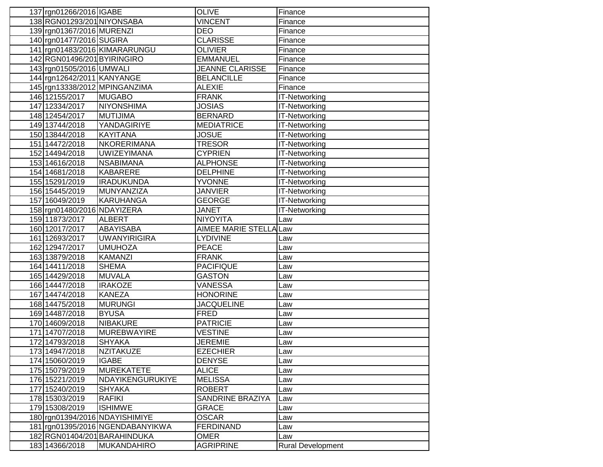| 137 rgn01266/2016 IGABE     |                                                                  | <b>OLIVE</b>                            | Finance                  |
|-----------------------------|------------------------------------------------------------------|-----------------------------------------|--------------------------|
| 138 RGN01293/201 NIYONSABA  |                                                                  | <b>VINCENT</b>                          | Finance                  |
| 139 rgn01367/2016 MURENZI   |                                                                  | <b>DEO</b>                              | Finance                  |
| 140 rgn01477/2016 SUGIRA    |                                                                  | <b>CLARISSE</b>                         | Finance                  |
|                             | 141 rgn01483/2016 KIMARARUNGU                                    | <b>OLIVIER</b>                          | Finance                  |
| 142 RGN01496/201 BYIRINGIRO |                                                                  | <b>EMMANUEL</b>                         | Finance                  |
| 143 rgn01505/2016 UMWALI    |                                                                  | <b>JEANNE CLARISSE</b>                  | Finance                  |
| 144 rgn12642/2011 KANYANGE  |                                                                  | <b>BELANCILLE</b>                       | Finance                  |
|                             | 145 rgn13338/2012 MPINGANZIMA                                    | <b>ALEXIE</b>                           | Finance                  |
| 146 12155/2017              | <b>MUGABO</b>                                                    | <b>FRANK</b>                            | <b>IT-Networking</b>     |
| 147 12334/2017              | <b>NIYONSHIMA</b>                                                | <b>JOSIAS</b>                           | <b>IT-Networking</b>     |
| 148 12454/2017              | <b>MUTIJIMA</b>                                                  | <b>BERNARD</b>                          | <b>IT-Networking</b>     |
| 149 13744/2018              | YANDAGIRIYE                                                      | <b>MEDIATRICE</b>                       | <b>IT-Networking</b>     |
| 150 13844/2018              | <b>KAYITANA</b>                                                  | <b>JOSUE</b>                            | <b>IT-Networking</b>     |
| 151 14472/2018              | <b>NKORERIMANA</b>                                               | <b>TRESOR</b>                           | <b>IT-Networking</b>     |
| 152 14494/2018              | <b>UWIZEYIMANA</b>                                               | <b>CYPRIEN</b>                          | <b>IT-Networking</b>     |
| 153 14616/2018              | <b>NSABIMANA</b>                                                 | <b>ALPHONSE</b>                         | <b>IT-Networking</b>     |
| 154 14681/2018              | <b>KABARERE</b>                                                  | <b>DELPHINE</b>                         | IT-Networking            |
| 155 15291/2019              | <b>IRADUKUNDA</b>                                                | <b>YVONNE</b>                           | IT-Networking            |
| 156 15445/2019              | MUNYANZIZA                                                       | JANVIER                                 | <b>IT-Networking</b>     |
| 157 16049/2019              | <b>KARUHANGA</b>                                                 | <b>GEORGE</b>                           | <b>IT-Networking</b>     |
| 158 rgn01480/2016 NDAYIZERA |                                                                  | <b>JANET</b>                            | <b>IT-Networking</b>     |
| 159 11873/2017              | <b>ALBERT</b>                                                    | <b>NIYOYITA</b>                         | Law                      |
| 160 12017/2017              | ABAYISABA                                                        | AIMEE MARIE STELLA Law                  |                          |
| 161 12693/2017              | <b>UWANYIRIGIRA</b>                                              | <b>LYDIVINE</b>                         | Law                      |
| 162 12947/2017              | <b>UMUHOZA</b>                                                   | <b>PEACE</b>                            | Law                      |
| 163 13879/2018              | KAMANZI                                                          | <b>FRANK</b>                            | Law                      |
| 164 14411/2018              | <b>SHEMA</b>                                                     | <b>PACIFIQUE</b>                        | Law                      |
| 165 14429/2018              | <b>MUVALA</b>                                                    | <b>GASTON</b>                           | Law                      |
| 166 14447/2018              | <b>IRAKOZE</b>                                                   | <b>VANESSA</b>                          | Law                      |
| 167 14474/2018              | <b>KANEZA</b>                                                    | <b>HONORINE</b>                         | Law                      |
| 168 14475/2018              | <b>MURUNGI</b>                                                   | <b>JACQUELINE</b>                       | Law                      |
| 169 14487/2018              | <b>BYUSA</b>                                                     | <b>FRED</b>                             | Law                      |
| 170 14609/2018              | <b>NIBAKURE</b>                                                  | <b>PATRICIE</b>                         | Law                      |
| 171 14707/2018              | <b>MUREBWAYIRE</b>                                               | <b>VESTINE</b>                          | Law                      |
| 172 14793/2018              | <b>SHYAKA</b>                                                    | <b>JEREMIE</b>                          | Law                      |
| 173 14947/2018              | NZITAKUZE                                                        | <b>EZECHIER</b>                         | Law                      |
| 174 15060/2019              | <b>IGABE</b>                                                     | <b>DENYSE</b>                           | Law                      |
| 175 15079/2019              | <b>MUREKATETE</b>                                                | <b>ALICE</b>                            | Law                      |
| 176 15221/2019              | NDAYIKENGURUKIYE                                                 | <b>MELISSA</b>                          | Law                      |
| 177 15240/2019              | <b>SHYAKA</b>                                                    | <b>ROBERT</b>                           | Law                      |
| 178 15303/2019              | <b>RAFIKI</b>                                                    | <b>SANDRINE BRAZIYA</b><br><b>GRACE</b> | Law                      |
| 179 15308/2019              | <b>ISHIMWE</b><br>180 rgn01394/2016 NDAYISHIMIYE                 | <b>OSCAR</b>                            | Law                      |
|                             |                                                                  |                                         | Law                      |
|                             | 181 rgn01395/2016 NGENDABANYIKWA<br>182 RGN01404/201 BARAHINDUKA | <b>FERDINAND</b>                        | Law                      |
|                             |                                                                  | <b>OMER</b>                             | Law                      |
| 183 14366/2018              | <b>MUKANDAHIRO</b>                                               | <b>AGRIPRINE</b>                        | <b>Rural Development</b> |